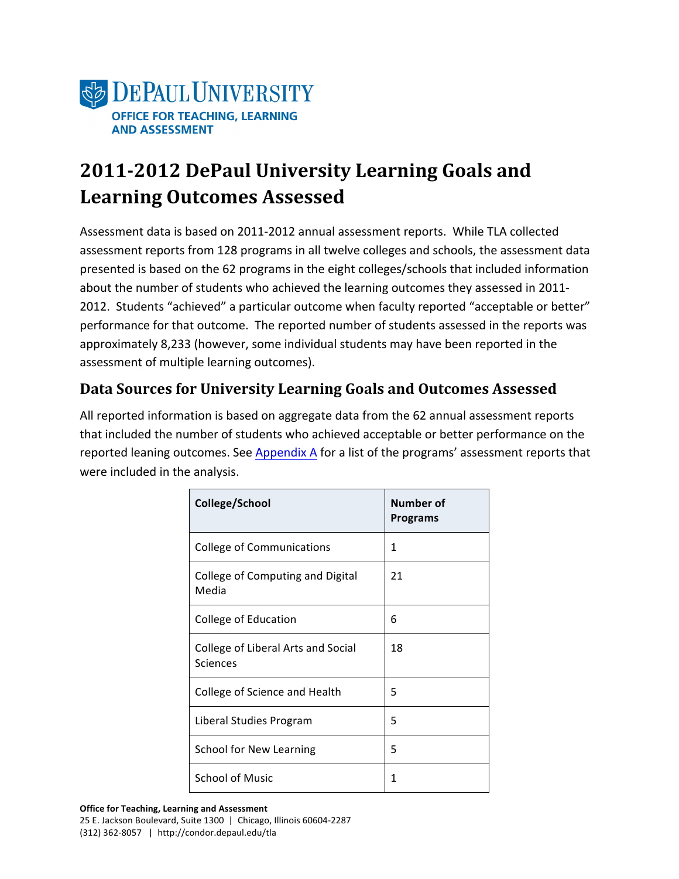

## **2011-2012 DePaul University Learning Goals and Learning Outcomes Assessed**

Assessment data is based on 2011-2012 annual assessment reports. While TLA collected assessment reports from 128 programs in all twelve colleges and schools, the assessment data presented is based on the 62 programs in the eight colleges/schools that included information about the number of students who achieved the learning outcomes they assessed in 2011-2012. Students "achieved" a particular outcome when faculty reported "acceptable or better" performance for that outcome. The reported number of students assessed in the reports was approximately 8,233 (however, some individual students may have been reported in the assessment of multiple learning outcomes).

### Data Sources for University Learning Goals and Outcomes Assessed

All reported information is based on aggregate data from the 62 annual assessment reports that included the number of students who achieved acceptable or better performance on the reported leaning outcomes. See Appendix A for a list of the programs' assessment reports that were included in the analysis.

| College/School                                 | Number of<br><b>Programs</b> |
|------------------------------------------------|------------------------------|
| <b>College of Communications</b>               | 1                            |
| College of Computing and Digital<br>Media      | 21                           |
| College of Education                           | 6                            |
| College of Liberal Arts and Social<br>Sciences | 18                           |
| College of Science and Health                  | 5                            |
| Liberal Studies Program                        | 5                            |
| School for New Learning                        | 5                            |
| <b>School of Music</b>                         | 1                            |

**Office for Teaching, Learning and Assessment** 25 E. Jackson Boulevard, Suite 1300 | Chicago, Illinois 60604-2287  $(312)$  362-8057 | http://condor.depaul.edu/tla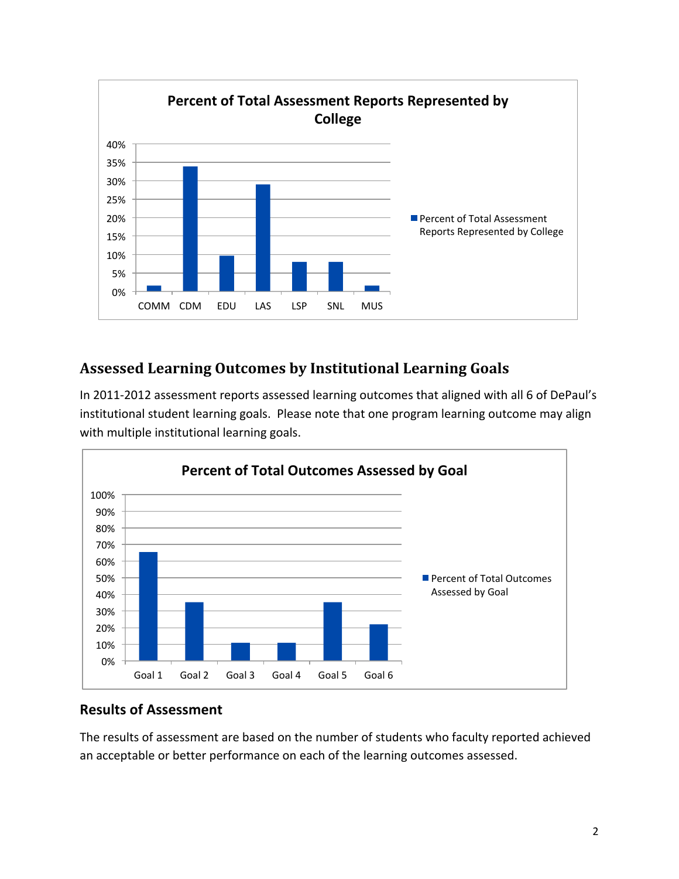

### **Assessed Learning Outcomes by Institutional Learning Goals**

In 2011-2012 assessment reports assessed learning outcomes that aligned with all 6 of DePaul's institutional student learning goals. Please note that one program learning outcome may align with multiple institutional learning goals.



#### **Results of Assessment**

The results of assessment are based on the number of students who faculty reported achieved an acceptable or better performance on each of the learning outcomes assessed.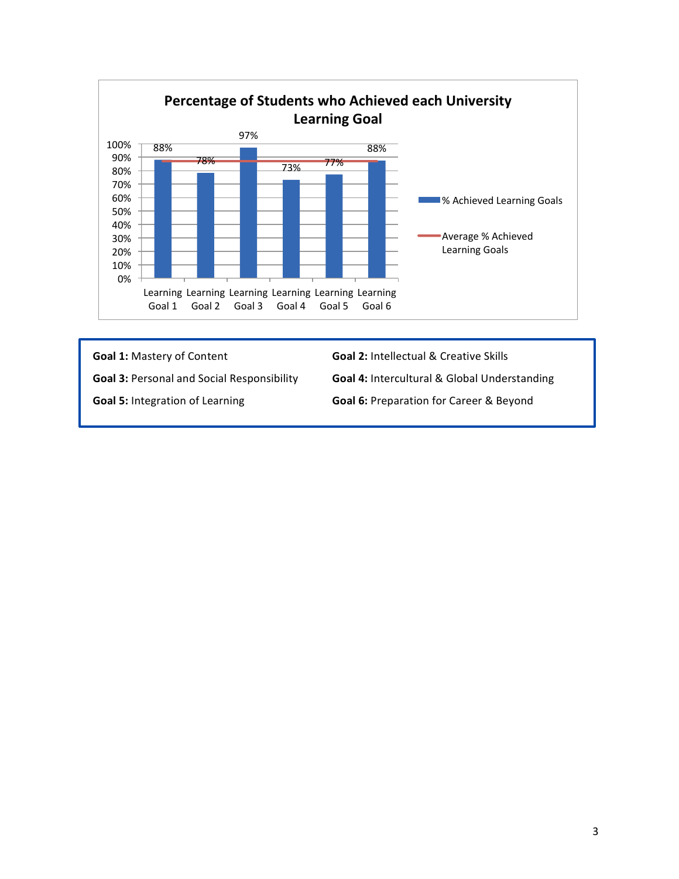

# Goal 1: Mastery of Content **Goal 2:** Intellectual & Creative Skills Goal 3: Personal and Social Responsibility **Goal 4:** Intercultural & Global Understanding Goal 5: Integration of Learning **Goal 6:** Preparation for Career & Beyond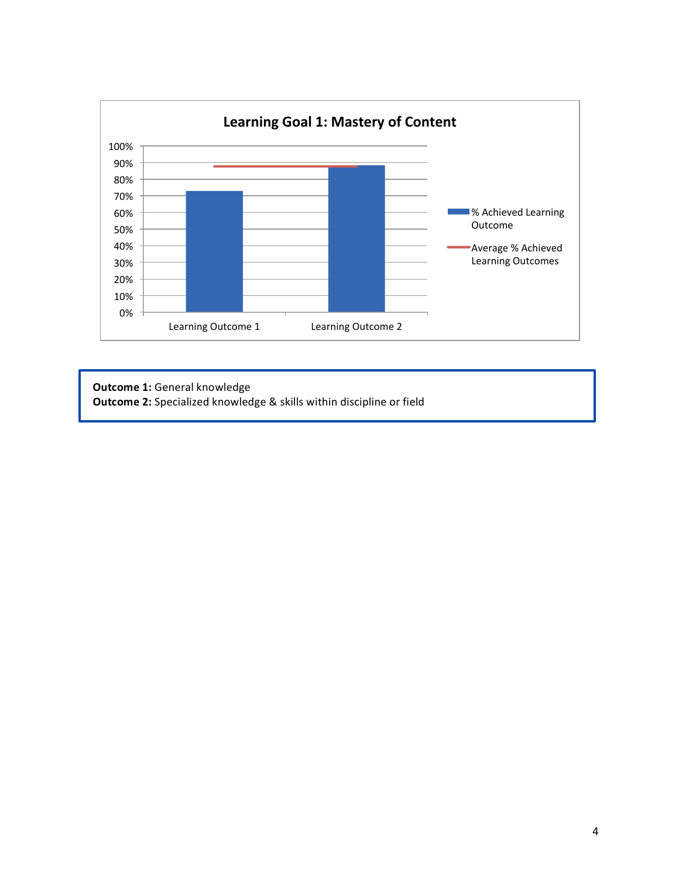

**Outcome 1:** General knowledge **Outcome 2:** Specialized knowledge & skills within discipline or field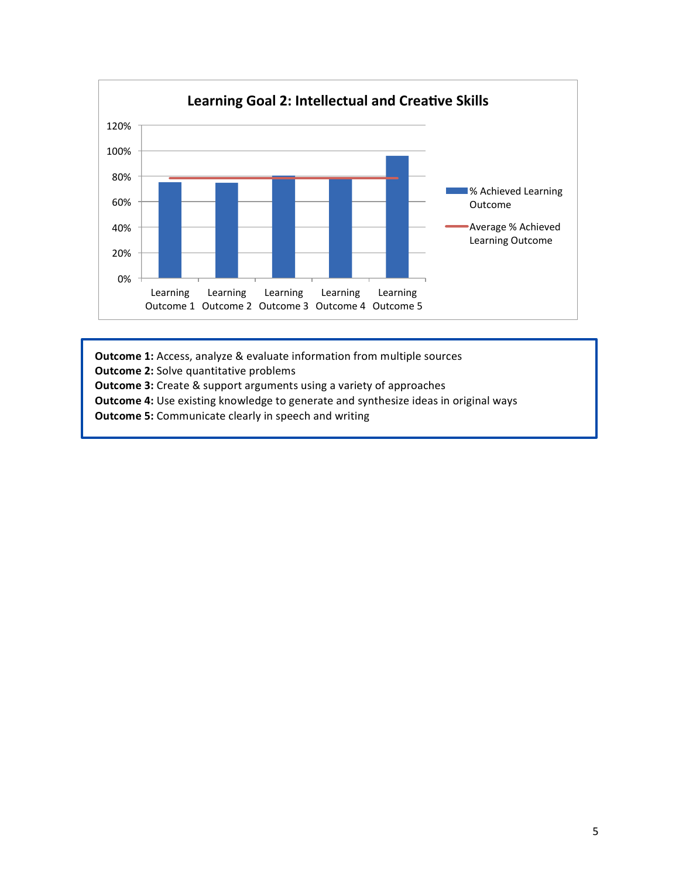

**Outcome 1:** Access, analyze & evaluate information from multiple sources

**Outcome 2:** Solve quantitative problems

**Outcome 3:** Create & support arguments using a variety of approaches

**Outcome 4:** Use existing knowledge to generate and synthesize ideas in original ways

**Outcome 5:** Communicate clearly in speech and writing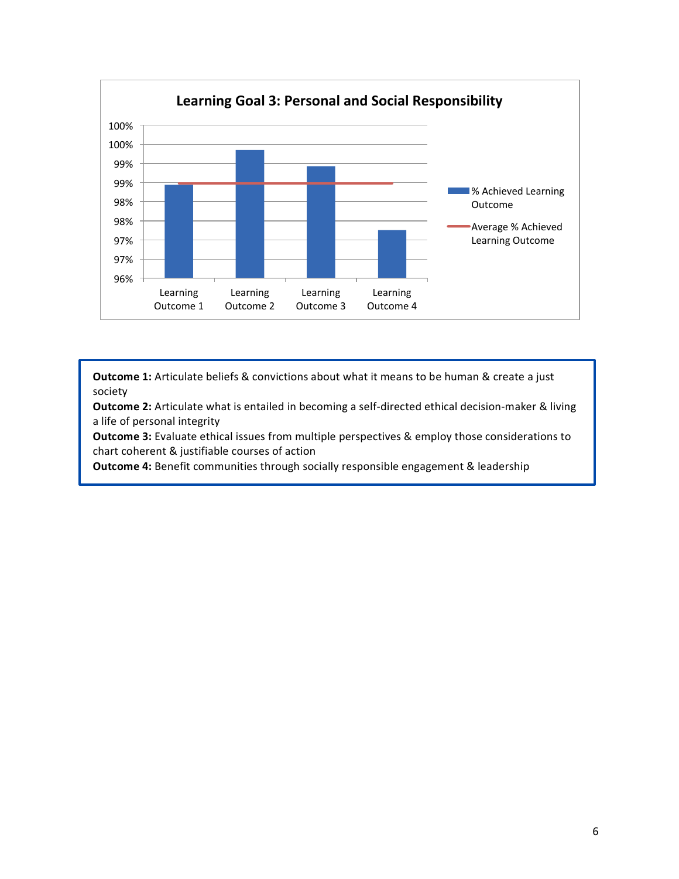

**Outcome 1:** Articulate beliefs & convictions about what it means to be human & create a just society

**Outcome 2:** Articulate what is entailed in becoming a self-directed ethical decision-maker & living a life of personal integrity

**Outcome 3:** Evaluate ethical issues from multiple perspectives & employ those considerations to chart coherent & justifiable courses of action

**Outcome 4:** Benefit communities through socially responsible engagement & leadership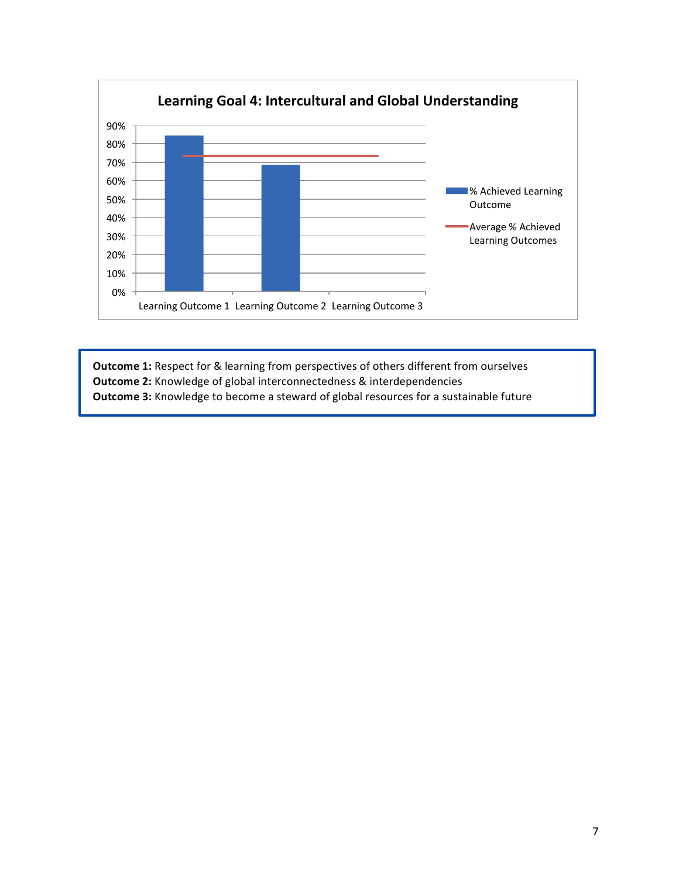

**Outcome 1:** Respect for & learning from perspectives of others different from ourselves **Outcome 2:** Knowledge of global interconnectedness & interdependencies **Outcome 3:** Knowledge to become a steward of global resources for a sustainable future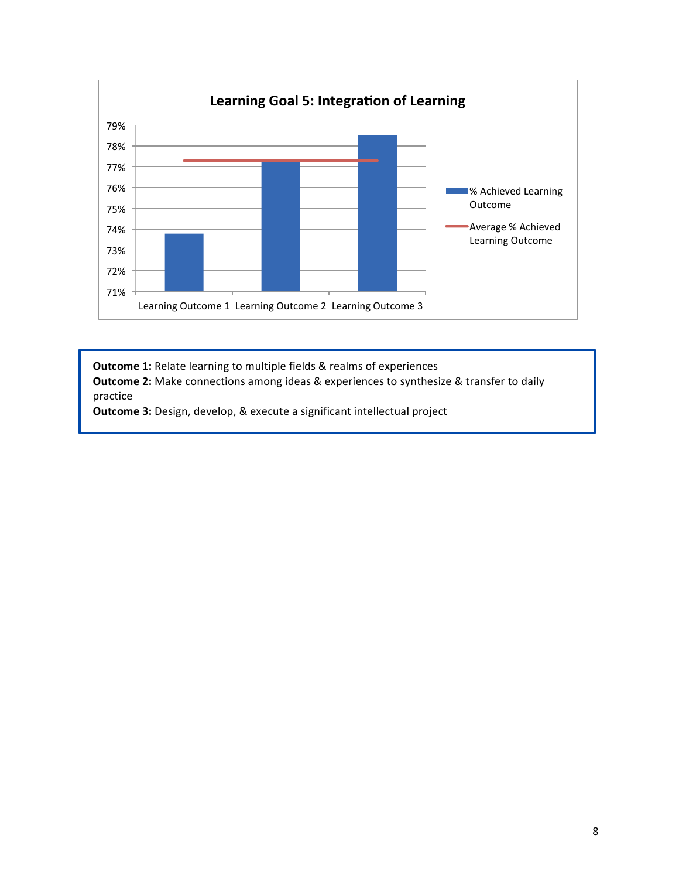

**Outcome 1:** Relate learning to multiple fields & realms of experiences **Outcome 2:** Make connections among ideas & experiences to synthesize & transfer to daily practice

**Outcome 3:** Design, develop, & execute a significant intellectual project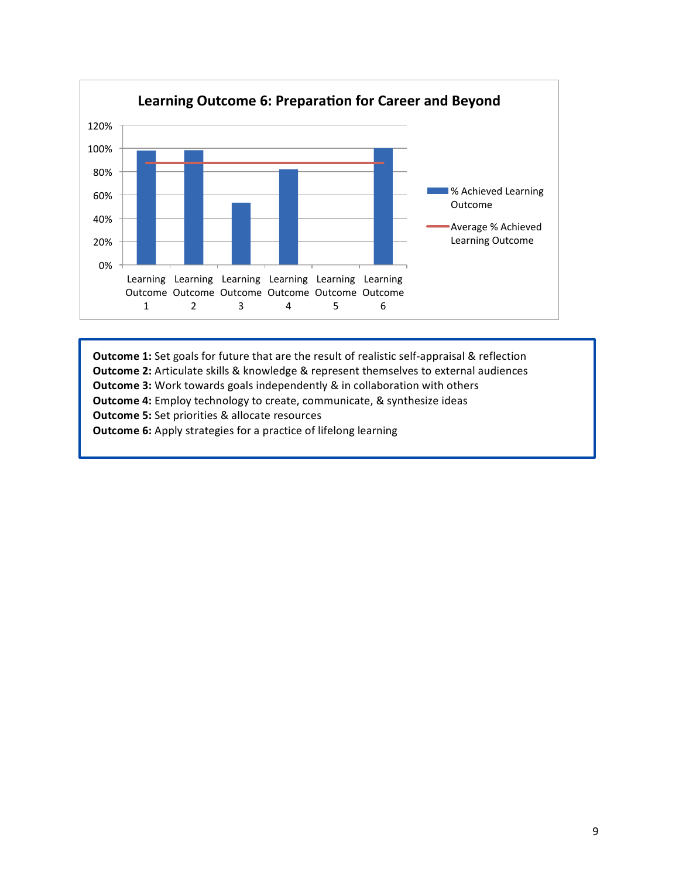

**Outcome 1:** Set goals for future that are the result of realistic self-appraisal & reflection **Outcome 2:** Articulate skills & knowledge & represent themselves to external audiences **Outcome 3:** Work towards goals independently & in collaboration with others **Outcome 4:** Employ technology to create, communicate, & synthesize ideas **Outcome 5:** Set priorities & allocate resources **Outcome 6:** Apply strategies for a practice of lifelong learning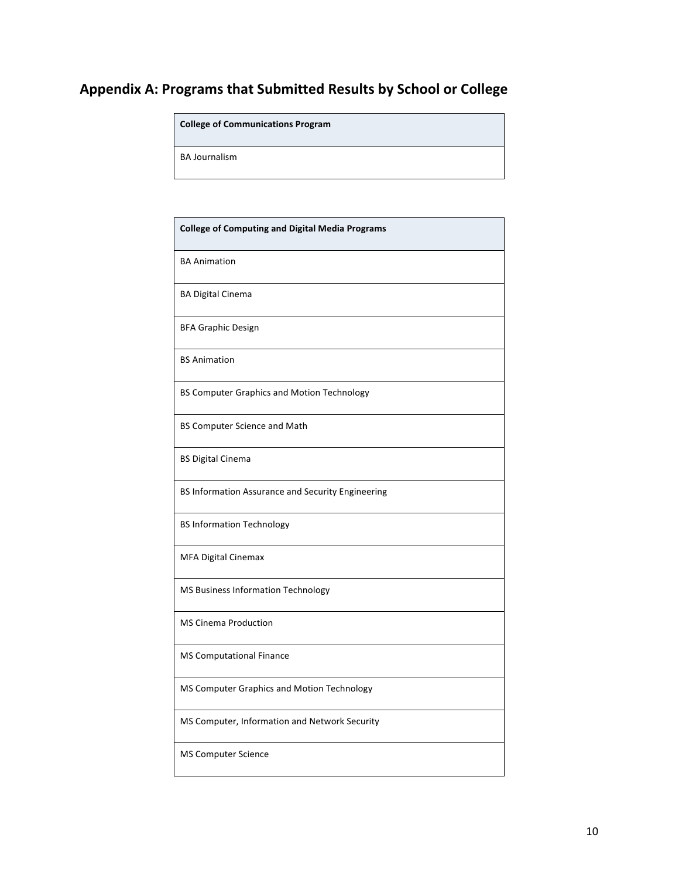## **Appendix A: Programs that Submitted Results by School or College**

**College of Communications Program**

BA Journalism

| <b>College of Computing and Digital Media Programs</b> |
|--------------------------------------------------------|
| <b>BA Animation</b>                                    |
| <b>BA Digital Cinema</b>                               |
| <b>BFA Graphic Design</b>                              |
| <b>BS Animation</b>                                    |
| <b>BS Computer Graphics and Motion Technology</b>      |
| <b>BS Computer Science and Math</b>                    |
| <b>BS Digital Cinema</b>                               |
| BS Information Assurance and Security Engineering      |
| <b>BS Information Technology</b>                       |
| MFA Digital Cinemax                                    |
| <b>MS Business Information Technology</b>              |
| <b>MS Cinema Production</b>                            |
| <b>MS Computational Finance</b>                        |
| MS Computer Graphics and Motion Technology             |
| MS Computer, Information and Network Security          |
| <b>MS Computer Science</b>                             |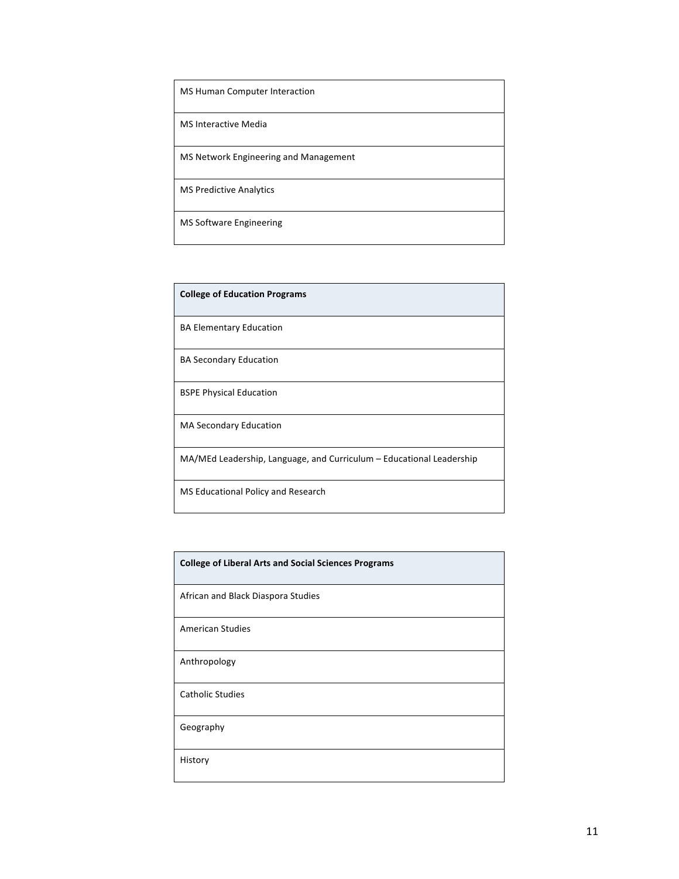| MS Human Computer Interaction         |
|---------------------------------------|
| MS Interactive Media                  |
| MS Network Engineering and Management |
| <b>MS Predictive Analytics</b>        |
| <b>MS Software Engineering</b>        |

| <b>College of Education Programs</b>                                 |
|----------------------------------------------------------------------|
| <b>BA Elementary Education</b>                                       |
| <b>BA Secondary Education</b>                                        |
| <b>BSPE Physical Education</b>                                       |
| <b>MA Secondary Education</b>                                        |
| MA/MEd Leadership, Language, and Curriculum - Educational Leadership |
| MS Educational Policy and Research                                   |

| <b>College of Liberal Arts and Social Sciences Programs</b> |
|-------------------------------------------------------------|
| African and Black Diaspora Studies                          |
| <b>American Studies</b>                                     |
| Anthropology                                                |
| <b>Catholic Studies</b>                                     |
| Geography                                                   |
| History                                                     |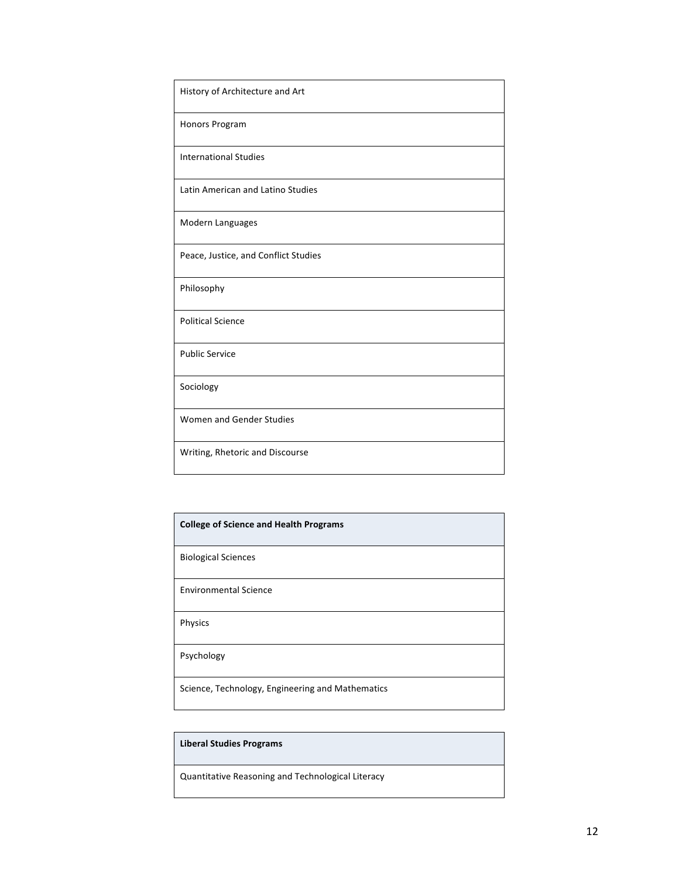| History of Architecture and Art      |
|--------------------------------------|
| <b>Honors Program</b>                |
| <b>International Studies</b>         |
| Latin American and Latino Studies    |
| Modern Languages                     |
| Peace, Justice, and Conflict Studies |
| Philosophy                           |
| <b>Political Science</b>             |
| <b>Public Service</b>                |
| Sociology                            |
| Women and Gender Studies             |
| Writing, Rhetoric and Discourse      |

| <b>College of Science and Health Programs</b>    |
|--------------------------------------------------|
| <b>Biological Sciences</b>                       |
| <b>Environmental Science</b>                     |
| Physics                                          |
| Psychology                                       |
| Science, Technology, Engineering and Mathematics |

#### **Liberal Studies Programs**

Quantitative Reasoning and Technological Literacy